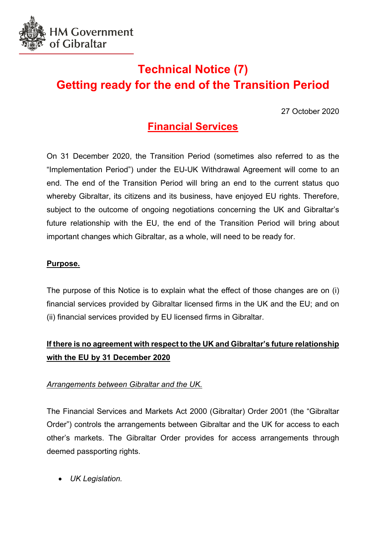

# **Technical Notice (7) Getting ready for the end of the Transition Period**

27 October 2020

# **Financial Services**

On 31 December 2020, the Transition Period (sometimes also referred to as the "Implementation Period") under the EU-UK Withdrawal Agreement will come to an end. The end of the Transition Period will bring an end to the current status quo whereby Gibraltar, its citizens and its business, have enjoyed EU rights. Therefore, subject to the outcome of ongoing negotiations concerning the UK and Gibraltar's future relationship with the EU, the end of the Transition Period will bring about important changes which Gibraltar, as a whole, will need to be ready for.

### **Purpose.**

The purpose of this Notice is to explain what the effect of those changes are on (i) financial services provided by Gibraltar licensed firms in the UK and the EU; and on (ii) financial services provided by EU licensed firms in Gibraltar.

# **If there is no agreement with respect to the UK and Gibraltar's future relationship with the EU by 31 December 2020**

## *Arrangements between Gibraltar and the UK.*

The Financial Services and Markets Act 2000 (Gibraltar) Order 2001 (the "Gibraltar Order") controls the arrangements between Gibraltar and the UK for access to each other's markets. The Gibraltar Order provides for access arrangements through deemed passporting rights.

• *UK Legislation.*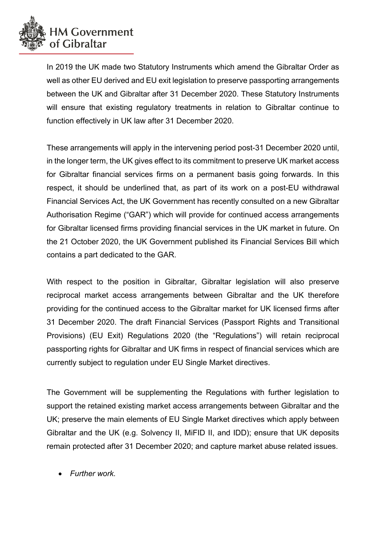

In 2019 the UK made two Statutory Instruments which amend the Gibraltar Order as well as other EU derived and EU exit legislation to preserve passporting arrangements between the UK and Gibraltar after 31 December 2020. These Statutory Instruments will ensure that existing regulatory treatments in relation to Gibraltar continue to function effectively in UK law after 31 December 2020.

These arrangements will apply in the intervening period post-31 December 2020 until, in the longer term, the UK gives effect to its commitment to preserve UK market access for Gibraltar financial services firms on a permanent basis going forwards. In this respect, it should be underlined that, as part of its work on a post-EU withdrawal Financial Services Act, the UK Government has recently consulted on a new Gibraltar Authorisation Regime ("GAR") which will provide for continued access arrangements for Gibraltar licensed firms providing financial services in the UK market in future. On the 21 October 2020, the UK Government published its Financial Services Bill which contains a part dedicated to the GAR.

With respect to the position in Gibraltar. Gibraltar legislation will also preserve reciprocal market access arrangements between Gibraltar and the UK therefore providing for the continued access to the Gibraltar market for UK licensed firms after 31 December 2020. The draft Financial Services (Passport Rights and Transitional Provisions) (EU Exit) Regulations 2020 (the "Regulations") will retain reciprocal passporting rights for Gibraltar and UK firms in respect of financial services which are currently subject to regulation under EU Single Market directives.

The Government will be supplementing the Regulations with further legislation to support the retained existing market access arrangements between Gibraltar and the UK; preserve the main elements of EU Single Market directives which apply between Gibraltar and the UK (e.g. Solvency II, MiFID II, and IDD); ensure that UK deposits remain protected after 31 December 2020; and capture market abuse related issues.

• *Further work.*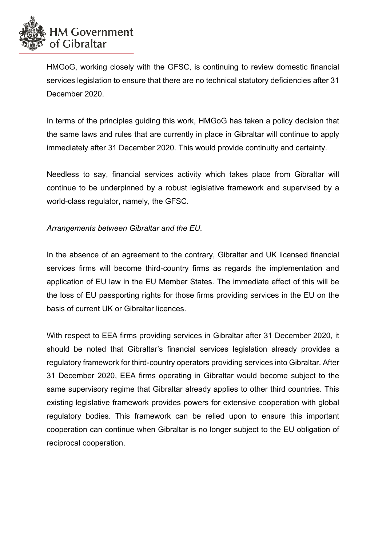

HMGoG, working closely with the GFSC, is continuing to review domestic financial services legislation to ensure that there are no technical statutory deficiencies after 31 December 2020.

In terms of the principles guiding this work, HMGoG has taken a policy decision that the same laws and rules that are currently in place in Gibraltar will continue to apply immediately after 31 December 2020. This would provide continuity and certainty.

Needless to say, financial services activity which takes place from Gibraltar will continue to be underpinned by a robust legislative framework and supervised by a world-class regulator, namely, the GFSC.

#### *Arrangements between Gibraltar and the EU.*

In the absence of an agreement to the contrary, Gibraltar and UK licensed financial services firms will become third-country firms as regards the implementation and application of EU law in the EU Member States. The immediate effect of this will be the loss of EU passporting rights for those firms providing services in the EU on the basis of current UK or Gibraltar licences.

With respect to EEA firms providing services in Gibraltar after 31 December 2020, it should be noted that Gibraltar's financial services legislation already provides a regulatory framework for third-country operators providing services into Gibraltar. After 31 December 2020, EEA firms operating in Gibraltar would become subject to the same supervisory regime that Gibraltar already applies to other third countries. This existing legislative framework provides powers for extensive cooperation with global regulatory bodies. This framework can be relied upon to ensure this important cooperation can continue when Gibraltar is no longer subject to the EU obligation of reciprocal cooperation.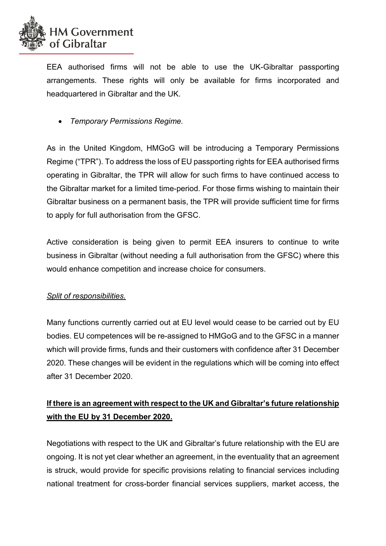

EEA authorised firms will not be able to use the UK-Gibraltar passporting arrangements. These rights will only be available for firms incorporated and headquartered in Gibraltar and the UK.

• *Temporary Permissions Regime.* 

As in the United Kingdom, HMGoG will be introducing a Temporary Permissions Regime ("TPR"). To address the loss of EU passporting rights for EEA authorised firms operating in Gibraltar, the TPR will allow for such firms to have continued access to the Gibraltar market for a limited time-period. For those firms wishing to maintain their Gibraltar business on a permanent basis, the TPR will provide sufficient time for firms to apply for full authorisation from the GFSC.

Active consideration is being given to permit EEA insurers to continue to write business in Gibraltar (without needing a full authorisation from the GFSC) where this would enhance competition and increase choice for consumers.

### *Split of responsibilities.*

Many functions currently carried out at EU level would cease to be carried out by EU bodies. EU competences will be re-assigned to HMGoG and to the GFSC in a manner which will provide firms, funds and their customers with confidence after 31 December 2020. These changes will be evident in the regulations which will be coming into effect after 31 December 2020.

# **If there is an agreement with respect to the UK and Gibraltar's future relationship with the EU by 31 December 2020.**

Negotiations with respect to the UK and Gibraltar's future relationship with the EU are ongoing. It is not yet clear whether an agreement, in the eventuality that an agreement is struck, would provide for specific provisions relating to financial services including national treatment for cross-border financial services suppliers, market access, the